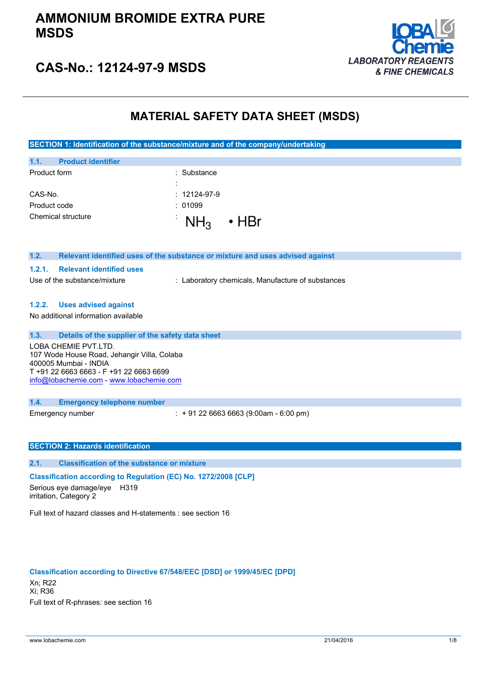

## **CAS-No.: 12124-97-9 MSDS**

### **MATERIAL SAFETY DATA SHEET (MSDS)**

**SECTION 1: Identification of the substance/mixture and of the company/undertaking**

| 1.1.         | <b>Product identifier</b> |                    |              |
|--------------|---------------------------|--------------------|--------------|
| Product form |                           | : Substance        |              |
|              |                           |                    |              |
| CAS-No.      |                           | $: 12124 - 97 - 9$ |              |
| Product code |                           | : 01099            |              |
|              | Chemical structure        |                    | $NH_3$ . HBr |

| 1.2.   |                                                  | Relevant identified uses of the substance or mixture and uses advised against |
|--------|--------------------------------------------------|-------------------------------------------------------------------------------|
| 1.2.1. | <b>Relevant identified uses</b>                  |                                                                               |
|        | Use of the substance/mixture                     | : Laboratory chemicals, Manufacture of substances                             |
|        |                                                  |                                                                               |
| 1.2.2. | <b>Uses advised against</b>                      |                                                                               |
|        | No additional information available              |                                                                               |
|        |                                                  |                                                                               |
| 1.3.   | Details of the supplier of the safety data sheet |                                                                               |
|        | LOBA CHEMIE PVT.LTD.                             |                                                                               |
|        | 107 Wode House Road, Jehangir Villa, Colaba      |                                                                               |
|        | 400005 Mumbai - INDIA                            |                                                                               |
|        | T +91 22 6663 6663 - F +91 22 6663 6699          |                                                                               |
|        | info@lobachemie.com - www.lobachemie.com         |                                                                               |
|        |                                                  |                                                                               |
| 1.4.   | <b>Emergency telephone number</b>                |                                                                               |
|        | Emergency number                                 | $: +912266636663(9:00am - 6:00 pm)$                                           |
|        |                                                  |                                                                               |
|        |                                                  |                                                                               |

### **SECTION 2: Hazards identification**

### **2.1. Classification of the substance or mixture**

### **Classification according to Regulation (EC) No. 1272/2008 [CLP]**

Serious eye damage/eye H319 irritation, Category 2

Full text of hazard classes and H-statements : see section 16

**Classification according to Directive 67/548/EEC [DSD] or 1999/45/EC [DPD]**

Xn; R22 Xi; R36 Full text of R-phrases: see section 16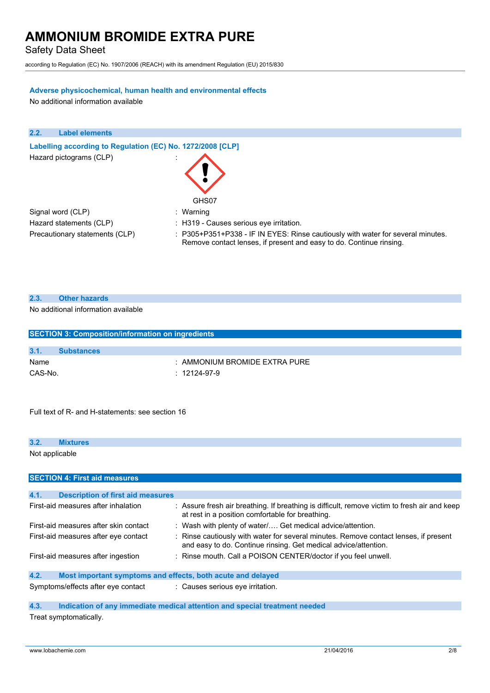Safety Data Sheet

according to Regulation (EC) No. 1907/2006 (REACH) with its amendment Regulation (EU) 2015/830

### **Adverse physicochemical, human health and environmental effects**

No additional information available



### **2.3. Other hazards**

No additional information available

| <b>SECTION 3: Composition/information on ingredients</b> |                   |                                                     |  |
|----------------------------------------------------------|-------------------|-----------------------------------------------------|--|
| 3.1.                                                     | <b>Substances</b> |                                                     |  |
| Name<br>CAS-No.                                          |                   | : AMMONIUM BROMIDE EXTRA PURE<br>$: 12124 - 97 - 9$ |  |

Full text of R- and H-statements: see section 16

| 3.2.           | <b>Mixtures</b> |  |  |  |  |
|----------------|-----------------|--|--|--|--|
| Not applicable |                 |  |  |  |  |

| <b>SECTION 4: First aid measures</b>  |                                          |                                                                                                                                                         |
|---------------------------------------|------------------------------------------|---------------------------------------------------------------------------------------------------------------------------------------------------------|
|                                       |                                          |                                                                                                                                                         |
| 4.1.                                  | <b>Description of first aid measures</b> |                                                                                                                                                         |
| First-aid measures after inhalation   |                                          | : Assure fresh air breathing. If breathing is difficult, remove victim to fresh air and keep<br>at rest in a position comfortable for breathing.        |
| First-aid measures after skin contact |                                          | : Wash with plenty of water/ Get medical advice/attention.                                                                                              |
| First-aid measures after eye contact  |                                          | : Rinse cautiously with water for several minutes. Remove contact lenses, if present<br>and easy to do. Continue rinsing. Get medical advice/attention. |
| First-aid measures after ingestion    |                                          | : Rinse mouth. Call a POISON CENTER/doctor if you feel unwell.                                                                                          |
| 4.2.                                  |                                          | Most important symptoms and effects, both acute and delayed                                                                                             |
| Symptoms/effects after eye contact    |                                          | : Causes serious eve irritation.                                                                                                                        |
| 4.3.                                  |                                          | Indication of any immediate medical attention and special treatment needed                                                                              |

Treat symptomatically.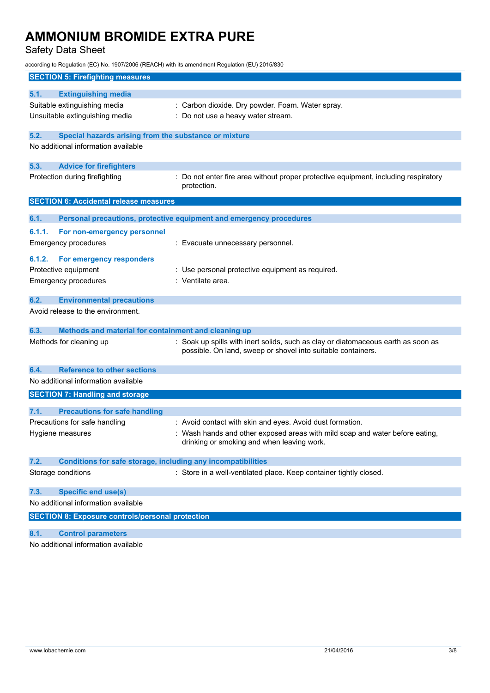Safety Data Sheet

according to Regulation (EC) No. 1907/2006 (REACH) with its amendment Regulation (EU) 2015/830

| <b>SECTION 5: Firefighting measures</b>                                     |                                                                                                                                                   |
|-----------------------------------------------------------------------------|---------------------------------------------------------------------------------------------------------------------------------------------------|
| 5.1.<br><b>Extinguishing media</b>                                          |                                                                                                                                                   |
| Suitable extinguishing media                                                | : Carbon dioxide. Dry powder. Foam. Water spray.                                                                                                  |
| Unsuitable extinguishing media                                              | : Do not use a heavy water stream.                                                                                                                |
|                                                                             |                                                                                                                                                   |
| 5.2.<br>Special hazards arising from the substance or mixture               |                                                                                                                                                   |
| No additional information available                                         |                                                                                                                                                   |
| 5.3.<br><b>Advice for firefighters</b>                                      |                                                                                                                                                   |
| Protection during firefighting                                              | Do not enter fire area without proper protective equipment, including respiratory<br>protection.                                                  |
| <b>SECTION 6: Accidental release measures</b>                               |                                                                                                                                                   |
|                                                                             |                                                                                                                                                   |
| 6.1.                                                                        | Personal precautions, protective equipment and emergency procedures                                                                               |
| 6.1.1.<br>For non-emergency personnel                                       |                                                                                                                                                   |
| Emergency procedures                                                        | : Evacuate unnecessary personnel.                                                                                                                 |
| 6.1.2.<br>For emergency responders                                          |                                                                                                                                                   |
| Protective equipment                                                        | : Use personal protective equipment as required.                                                                                                  |
| Emergency procedures                                                        | : Ventilate area.                                                                                                                                 |
| 6.2.<br><b>Environmental precautions</b>                                    |                                                                                                                                                   |
| Avoid release to the environment.                                           |                                                                                                                                                   |
| 6.3.<br>Methods and material for containment and cleaning up                |                                                                                                                                                   |
| Methods for cleaning up                                                     | : Soak up spills with inert solids, such as clay or diatomaceous earth as soon as<br>possible. On land, sweep or shovel into suitable containers. |
| <b>Reference to other sections</b><br>6.4.                                  |                                                                                                                                                   |
| No additional information available                                         |                                                                                                                                                   |
| <b>SECTION 7: Handling and storage</b>                                      |                                                                                                                                                   |
| 7.1.<br><b>Precautions for safe handling</b>                                |                                                                                                                                                   |
| Precautions for safe handling                                               | : Avoid contact with skin and eyes. Avoid dust formation.                                                                                         |
| Hygiene measures                                                            | Wash hands and other exposed areas with mild soap and water before eating,<br>drinking or smoking and when leaving work.                          |
| 7.2.<br><b>Conditions for safe storage, including any incompatibilities</b> |                                                                                                                                                   |
| Storage conditions                                                          | : Store in a well-ventilated place. Keep container tightly closed.                                                                                |
| <b>Specific end use(s)</b><br>7.3.                                          |                                                                                                                                                   |
| No additional information available                                         |                                                                                                                                                   |
| <b>SECTION 8: Exposure controls/personal protection</b>                     |                                                                                                                                                   |
| <b>Control parameters</b><br>8.1.                                           |                                                                                                                                                   |

No additional information available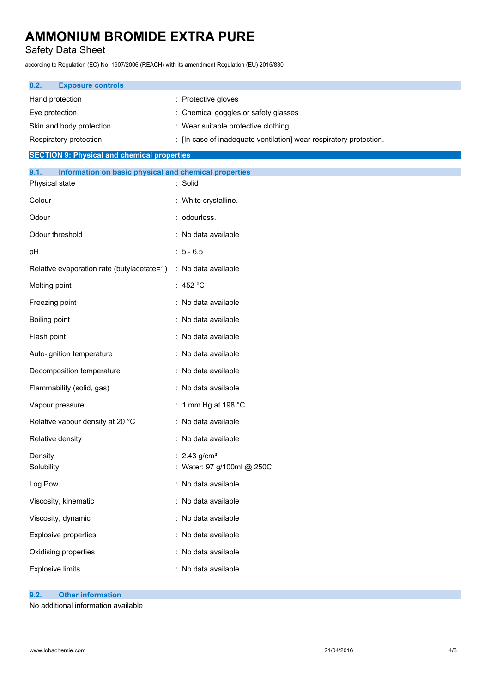Safety Data Sheet

according to Regulation (EC) No. 1907/2006 (REACH) with its amendment Regulation (EU) 2015/830

| 8.2.            | <b>Exposure controls</b> |                                                                    |
|-----------------|--------------------------|--------------------------------------------------------------------|
| Hand protection |                          | $:$ Protective gloves                                              |
| Eye protection  |                          | : Chemical goggles or safety glasses                               |
|                 | Skin and body protection | : Wear suitable protective clothing                                |
|                 | Respiratory protection   | : [In case of inadequate ventilation] wear respiratory protection. |

### **SECTION 9: Physical and chemical properties**

| 9.1.<br>Information on basic physical and chemical properties |                                                          |
|---------------------------------------------------------------|----------------------------------------------------------|
| Physical state                                                | : Solid                                                  |
| Colour                                                        | : White crystalline.                                     |
| Odour                                                         | : odourless.                                             |
| Odour threshold                                               | : No data available                                      |
| pH                                                            | $: 5 - 6.5$                                              |
| Relative evaporation rate (butylacetate=1)                    | : No data available                                      |
| Melting point                                                 | : 452 °C                                                 |
| Freezing point                                                | : No data available                                      |
| Boiling point                                                 | : No data available                                      |
| Flash point                                                   | : No data available                                      |
| Auto-ignition temperature                                     | : No data available                                      |
| Decomposition temperature                                     | : No data available                                      |
| Flammability (solid, gas)                                     | : No data available                                      |
| Vapour pressure                                               | : 1 mm Hg at 198 °C                                      |
| Relative vapour density at 20 °C                              | : No data available                                      |
| Relative density                                              | : No data available                                      |
| Density<br>Solubility                                         | : $2.43$ g/cm <sup>3</sup><br>: Water: 97 g/100ml @ 250C |
| Log Pow                                                       | : No data available                                      |
| Viscosity, kinematic                                          | : No data available                                      |
| Viscosity, dynamic                                            | : No data available                                      |
| Explosive properties                                          | : No data available                                      |
| Oxidising properties                                          | : No data available                                      |
| <b>Explosive limits</b>                                       | : No data available                                      |

### **9.2. Other information**

No additional information available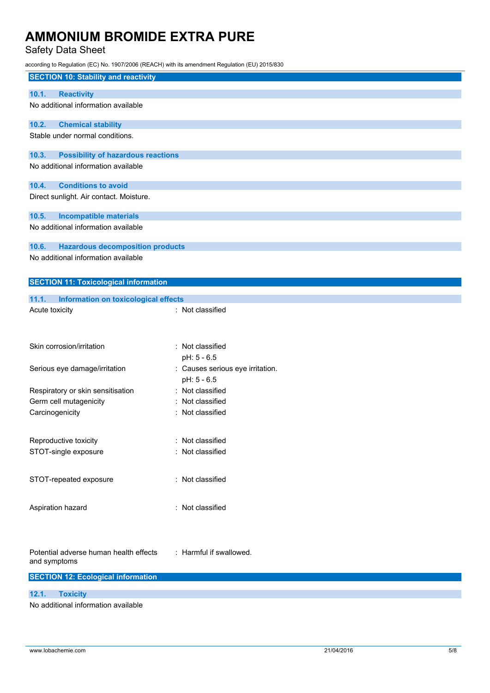Safety Data Sheet

according to Regulation (EC) No. 1907/2006 (REACH) with its amendment Regulation (EU) 2015/830

| $\frac{1}{2}$                                          |                                                 |
|--------------------------------------------------------|-------------------------------------------------|
| <b>SECTION 10: Stability and reactivity</b>            |                                                 |
| 10.1.<br><b>Reactivity</b>                             |                                                 |
| No additional information available                    |                                                 |
| <b>Chemical stability</b><br>10.2.                     |                                                 |
| Stable under normal conditions.                        |                                                 |
| <b>Possibility of hazardous reactions</b><br>10.3.     |                                                 |
| No additional information available                    |                                                 |
| 10.4.<br><b>Conditions to avoid</b>                    |                                                 |
| Direct sunlight. Air contact. Moisture.                |                                                 |
| 10.5.<br><b>Incompatible materials</b>                 |                                                 |
| No additional information available                    |                                                 |
| <b>Hazardous decomposition products</b><br>10.6.       |                                                 |
| No additional information available                    |                                                 |
| <b>SECTION 11: Toxicological information</b>           |                                                 |
| 11.1.<br>Information on toxicological effects          |                                                 |
| Acute toxicity                                         | : Not classified                                |
| Skin corrosion/irritation                              | : Not classified<br>pH: 5 - 6.5                 |
| Serious eye damage/irritation                          | : Causes serious eye irritation.<br>pH: 5 - 6.5 |
| Respiratory or skin sensitisation                      | Not classified                                  |
| Germ cell mutagenicity                                 | Not classified                                  |
| Carcinogenicity                                        | Not classified                                  |
| Reproductive toxicity                                  | Not classified                                  |
| STOT-single exposure                                   | Not classified                                  |
|                                                        |                                                 |
| STOT-repeated exposure                                 | : Not classified                                |
| Aspiration hazard                                      | : Not classified                                |
| Potential adverse human health effects<br>and symptoms | : Harmful if swallowed.                         |
| <b>SECTION 12: Ecological information</b>              |                                                 |
| 12.1.<br><b>Toxicity</b>                               |                                                 |
| No odditional information quoilable                    |                                                 |

No additional information available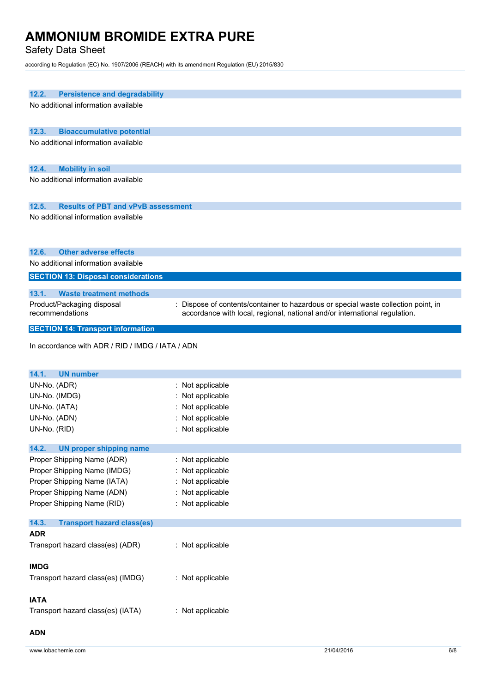Safety Data Sheet

according to Regulation (EC) No. 1907/2006 (REACH) with its amendment Regulation (EU) 2015/830

| 12.2.         | <b>Persistence and degradability</b>             |                                                                                                                                                                |
|---------------|--------------------------------------------------|----------------------------------------------------------------------------------------------------------------------------------------------------------------|
|               | No additional information available              |                                                                                                                                                                |
| 12.3.         | <b>Bioaccumulative potential</b>                 |                                                                                                                                                                |
|               | No additional information available              |                                                                                                                                                                |
| 12.4.         | <b>Mobility in soil</b>                          |                                                                                                                                                                |
|               | No additional information available              |                                                                                                                                                                |
| 12.5.         | <b>Results of PBT and vPvB assessment</b>        |                                                                                                                                                                |
|               | No additional information available              |                                                                                                                                                                |
| 12.6.         | <b>Other adverse effects</b>                     |                                                                                                                                                                |
|               | No additional information available              |                                                                                                                                                                |
|               | <b>SECTION 13: Disposal considerations</b>       |                                                                                                                                                                |
| 13.1.         | <b>Waste treatment methods</b>                   |                                                                                                                                                                |
|               | Product/Packaging disposal<br>recommendations    | Dispose of contents/container to hazardous or special waste collection point, in<br>accordance with local, regional, national and/or international regulation. |
|               | <b>SECTION 14: Transport information</b>         |                                                                                                                                                                |
|               | In accordance with ADR / RID / IMDG / IATA / ADN |                                                                                                                                                                |
| 14.1.         | <b>UN number</b>                                 |                                                                                                                                                                |
| UN-No. (ADR)  |                                                  | Not applicable<br>÷                                                                                                                                            |
|               | UN-No. (IMDG)                                    | Not applicable                                                                                                                                                 |
| UN-No. (IATA) |                                                  | Not applicable                                                                                                                                                 |
| UN-No. (ADN)  |                                                  | Not applicable                                                                                                                                                 |
| UN-No. (RID)  |                                                  | : Not applicable                                                                                                                                               |
| 14.2.         | <b>UN proper shipping name</b>                   |                                                                                                                                                                |
|               | Proper Shipping Name (ADR)                       | Not applicable                                                                                                                                                 |
|               | Proper Shipping Name (IMDG)                      | Not applicable                                                                                                                                                 |
|               | Proper Shipping Name (IATA)                      | Not applicable                                                                                                                                                 |
|               | Proper Shipping Name (ADN)                       | : Not applicable                                                                                                                                               |
|               | Proper Shipping Name (RID)                       | : Not applicable                                                                                                                                               |
| 14.3.         | <b>Transport hazard class(es)</b>                |                                                                                                                                                                |
| <b>ADR</b>    |                                                  |                                                                                                                                                                |
|               | Transport hazard class(es) (ADR)                 | : Not applicable                                                                                                                                               |
| <b>IMDG</b>   |                                                  |                                                                                                                                                                |
|               | Transport hazard class(es) (IMDG)                | : Not applicable                                                                                                                                               |
| <b>IATA</b>   |                                                  |                                                                                                                                                                |
|               | Transport hazard class(es) (IATA)                | : Not applicable                                                                                                                                               |
| <b>ADN</b>    |                                                  |                                                                                                                                                                |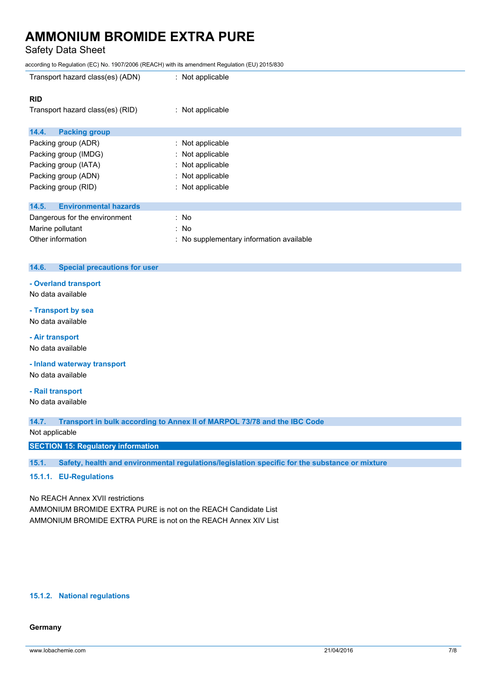Safety Data Sheet

according to Regulation (EC) No. 1907/2006 (REACH) with its amendment Regulation (EU) 2015/830

| Transport hazard class(es) (ADN)      | : Not applicable                         |
|---------------------------------------|------------------------------------------|
| <b>RID</b>                            |                                          |
| Transport hazard class(es) (RID)      | : Not applicable                         |
| 14.4.<br><b>Packing group</b>         |                                          |
| Packing group (ADR)                   | : Not applicable                         |
| Packing group (IMDG)                  | : Not applicable                         |
| Packing group (IATA)                  | : Not applicable                         |
| Packing group (ADN)                   | : Not applicable                         |
| Packing group (RID)                   | : Not applicable                         |
| 14.5.<br><b>Environmental hazards</b> |                                          |
| Dangerous for the environment         | : No                                     |
| Marine pollutant                      | : No                                     |
| Other information                     | : No supplementary information available |

#### **14.6. Special precautions for user**

**- Overland transport**

No data available

### **- Transport by sea**

No data available

#### **- Air transport**

No data available

**- Inland waterway transport**

No data available

### **- Rail transport**

No data available

**14.7. Transport in bulk according to Annex II of MARPOL 73/78 and the IBC Code**

Not applicable

**SECTION 15: Regulatory information**

**15.1. Safety, health and environmental regulations/legislation specific for the substance or mixture**

### **15.1.1. EU-Regulations**

No REACH Annex XVII restrictions

AMMONIUM BROMIDE EXTRA PURE is not on the REACH Candidate List AMMONIUM BROMIDE EXTRA PURE is not on the REACH Annex XIV List

#### **15.1.2. National regulations**

#### **Germany**

www.lobachemie.com 21/04/2016 7/8